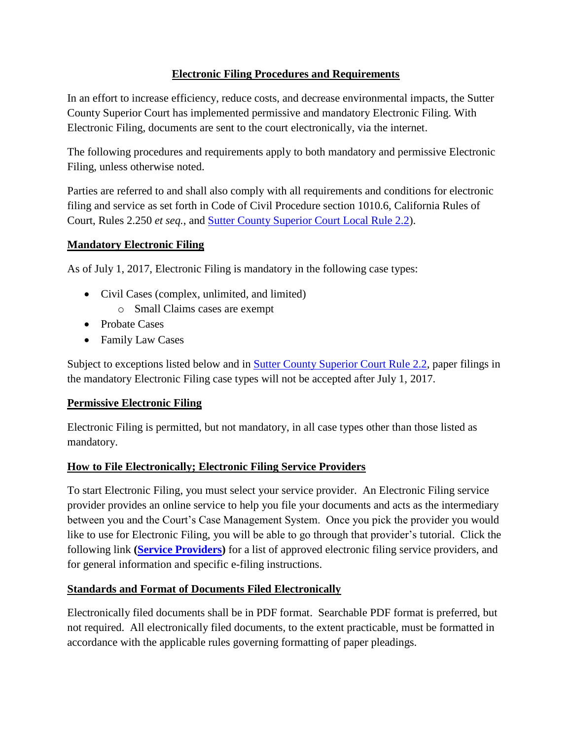### **Electronic Filing Procedures and Requirements**

In an effort to increase efficiency, reduce costs, and decrease environmental impacts, the Sutter County Superior Court has implemented permissive and mandatory Electronic Filing. With Electronic Filing, documents are sent to the court electronically, via the internet.

The following procedures and requirements apply to both mandatory and permissive Electronic Filing, unless otherwise noted.

Parties are referred to and shall also comply with all requirements and conditions for electronic filing and service as set forth in Code of Civil Procedure section 1010.6, California Rules of Court, Rules 2.250 *et seq.*, and Sutter County [Superior Court Local Rule 2.2\)](https://www.suttercourts.com/general-info/local-rules-of-court).

### **Mandatory Electronic Filing**

As of July 1, 2017, Electronic Filing is mandatory in the following case types:

- Civil Cases (complex, unlimited, and limited)
	- o Small Claims cases are exempt
- Probate Cases
- Family Law Cases

Subject to exceptions listed below and in **Sutter County Superior Court Rule 2.2**, paper filings in the mandatory Electronic Filing case types will not be accepted after July 1, 2017.

### **Permissive Electronic Filing**

Electronic Filing is permitted, but not mandatory, in all case types other than those listed as mandatory.

### **How to File Electronically; Electronic Filing Service Providers**

To start Electronic Filing, you must select your service provider. An Electronic Filing service provider provides an online service to help you file your documents and acts as the intermediary between you and the Court's Case Management System. Once you pick the provider you would like to use for Electronic Filing, you will be able to go through that provider's tutorial. Click the following link **[\(Service Providers\)](http://www.odysseyefileca.com/service-providers.htm)** for a list of approved electronic filing service providers, and for general information and specific e-filing instructions.

### **Standards and Format of Documents Filed Electronically**

Electronically filed documents shall be in PDF format. Searchable PDF format is preferred, but not required. All electronically filed documents, to the extent practicable, must be formatted in accordance with the applicable rules governing formatting of paper pleadings.